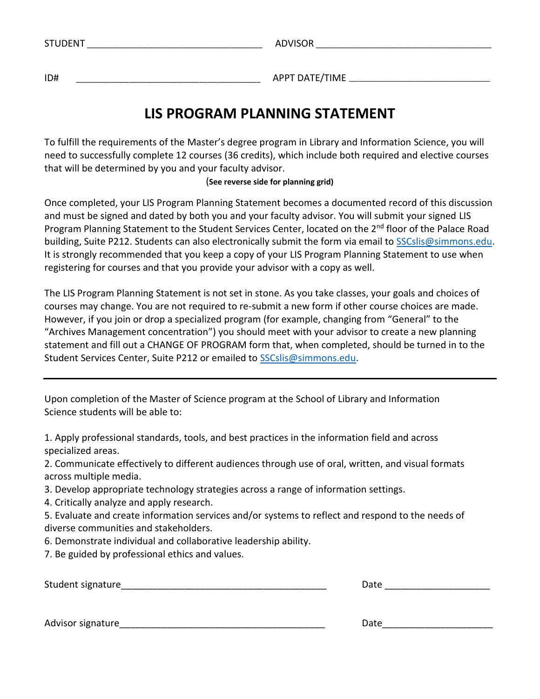| $- - - - -$<br>. N I<br>w<br>. | <b>DIVISOR</b><br>∼ |
|--------------------------------|---------------------|
|                                |                     |

ID#\_\_\_\_\_\_\_\_\_\_\_\_\_\_\_\_\_\_\_\_\_\_\_\_\_\_\_\_\_\_\_\_\_\_\_\_\_\_\_\_\_\_APPT DATE/TIME \_\_\_\_\_\_\_\_\_\_\_\_\_\_\_\_\_\_\_\_\_\_\_\_\_\_\_\_\_\_\_\_

# **LIS PROGRAM PLANNING STATEMENT**

To fulfill the requirements of the Master's degree program in Library and Information Science, you will need to successfully complete 12 courses (36 credits), which include both required and elective courses that will be determined by you and your faculty advisor.

## (**See reverse side for planning grid)**

Once completed, your LIS Program Planning Statement becomes a documented record of this discussion and must be signed and dated by both you and your faculty advisor. You will submit your signed LIS Program Planning Statement to the Student Services Center, located on the 2<sup>nd</sup> floor of the Palace Road building, Suite P212. Students can also electronically submit the form via email to SSCslis@simmons.edu. It is strongly recommended that you keep a copy of your LIS Program Planning Statement to use when registering for courses and that you provide your advisor with a copy as well.

The LIS Program Planning Statement is not set in stone. As you take classes, your goals and choices of courses may change. You are not required to re-submit a new form if other course choices are made. However, if you join or drop a specialized program (for example, changing from "General" to the "Archives Management concentration") you should meet with your advisor to create a new planning statement and fill out a CHANGE OF PROGRAM form that, when completed, should be turned in to the Student Services Center, Suite P212 or emailed to SSCslis@simmons.edu.

Upon completion of the Master of Science program at the School of Library and Information Science students will be able to:

1. Apply professional standards, tools, and best practices in the information field and across specialized areas.

2. Communicate effectively to different audiences through use of oral, written, and visual formats across multiple media.

- 3. Develop appropriate technology strategies across a range of information settings.
- 4. Critically analyze and apply research.

5. Evaluate and create information services and/or systems to reflect and respond to the needs of diverse communities and stakeholders.

- 6. Demonstrate individual and collaborative leadership ability.
- 7. Be guided by professional ethics and values.

Student signature

| Date |
|------|
|------|

Advisor signature\_\_\_\_\_\_\_\_\_\_\_\_\_\_\_\_\_\_\_\_\_\_\_\_\_\_\_\_\_\_\_\_\_\_\_\_\_\_\_ Date\_\_\_\_\_\_\_\_\_\_\_\_\_\_\_\_\_\_\_\_\_